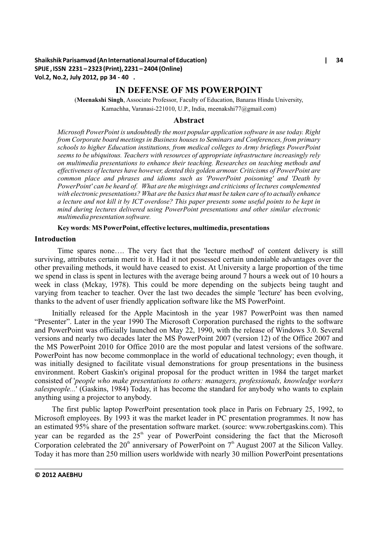## **IN DEFENSE OF MS POWERPOINT**

(**Meenakshi Singh**, Associate Professor, Faculty of Education, Banaras Hindu University, Kamachha, Varanasi-221010, U.P., India, meenakshi77@gmail.com)

#### **Abstract**

*Microsoft PowerPoint is undoubtedly the most popular application software in use today. Right from Corporate board meetings in Business houses to Seminars and Conferences, from primary schools to higher Education institutions, from medical colleges to Army briefings PowerPoint seems to be ubiquitous. Teachers with resources of appropriate infrastructure increasingly rely on multimedia presentations to enhance their teaching. Researches on teaching methods and effectiveness of lectures have however, dented this golden armour. Criticisms of PowerPoint are common place and phrases and idioms such as 'PowerPoint poisoning' and 'Death by PowerPoint' can be heard of. What are the misgivings and criticisms of lectures complemented with electronic presentations? What are the basics that must be taken care of to actually enhance a lecture and not kill it by ICT overdose? This paper presents some useful points to be kept in mind during lectures delivered using PowerPoint presentations and other similar electronic multimedia presentation software.* 

#### **Key words**: **MS PowerPoint, effective lectures, multimedia, presentations**

### **Introduction**

Time spares none…. The very fact that the 'lecture method' of content delivery is still surviving, attributes certain merit to it. Had it not possessed certain undeniable advantages over the other prevailing methods, it would have ceased to exist. At University a large proportion of the time we spend in class is spent in lectures with the average being around 7 hours a week out of 10 hours a week in class (Mckay, 1978). This could be more depending on the subjects being taught and varying from teacher to teacher. Over the last two decades the simple 'lecture' has been evolving, thanks to the advent of user friendly application software like the MS PowerPoint.

Initially released for the Apple Macintosh in the year 1987 PowerPoint was then named "Presenter". Later in the year 1990 The Microsoft Corporation purchased the rights to the software and PowerPoint was officially launched on May 22, 1990, with the release of Windows 3.0. Several versions and nearly two decades later the MS PowerPoint 2007 (version 12) of the Office 2007 and the MS PowerPoint 2010 for Office 2010 are the most popular and latest versions of the software. PowerPoint has now become commonplace in the world of educational technology; even though, it was initially designed to facilitate visual demonstrations for group presentations in the business environment. Robert Gaskin's original proposal for the product written in 1984 the target market consisted of '*people who make presentations to others: managers, professionals, knowledge workers salespeople...*' (Gaskins, 1984) Today, it has become the standard for anybody who wants to explain anything using a projector to anybody.

The first public laptop PowerPoint presentation took place in Paris on February 25, 1992, to Microsoft employees. By 1993 it was the market leader in PC presentation programmes. It now has an estimated 95% share of the presentation software market. (source: www.robertgaskins.com). This year can be regarded as the 25<sup>th</sup> year of PowerPoint considering the fact that the Microsoft Corporation celebrated the  $20<sup>th</sup>$  anniversary of PowerPoint on  $7<sup>th</sup>$  August 2007 at the Silicon Valley. Today it has more than 250 million users worldwide with nearly 30 million PowerPoint presentations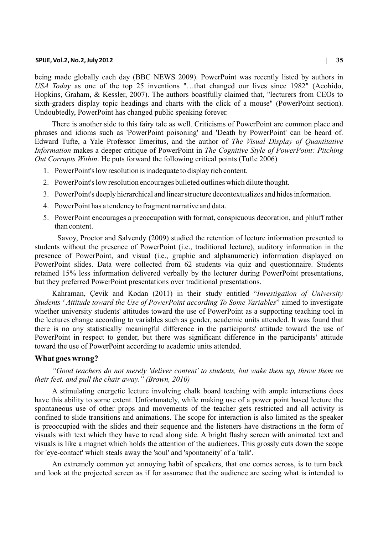#### **SPIJE, Vol.2, No.2, July 2012 | 35**

being made globally each day (BBC NEWS 2009). PowerPoint was recently listed by authors in *USA Today* as one of the top 25 inventions "…that changed our lives since 1982" (Acohido, Hopkins, Graham, & Kessler, 2007). The authors boastfully claimed that, "lecturers from CEOs to sixth-graders display topic headings and charts with the click of a mouse" (PowerPoint section). Undoubtedly, PowerPoint has changed public speaking forever.

There is another side to this fairy tale as well. Criticisms of PowerPoint are common place and phrases and idioms such as 'PowerPoint poisoning' and 'Death by PowerPoint' can be heard of. Edward Tufte, a Yale Professor Emeritus, and the author of *The Visual Display of Quantitative Information* makes a deeper critique of PowerPoint in *The Cognitive Style of PowerPoint: Pitching Out Corrupts Within*. He puts forward the following critical points (Tufte 2006)

- 1. PowerPoint's low resolution is inadequate to display rich content.
- 2. PowerPoint's low resolution encourages bulleted outlines which dilute thought.
- 3. PowerPoint's deeply hierarchical and linear structure decontextualizes and hides information.
- 4. PowerPoint has a tendency to fragment narrative and data.
- 5. PowerPoint encourages a preoccupation with format, conspicuous decoration, and phluff rather than content.

Savoy, Proctor and Salvendy (2009) studied the retention of lecture information presented to students without the presence of PowerPoint (i.e., traditional lecture), auditory information in the presence of PowerPoint, and visual (i.e., graphic and alphanumeric) information displayed on PowerPoint slides. Data were collected from 62 students via quiz and questionnaire. Students retained 15% less information delivered verbally by the lecturer during PowerPoint presentations, but they preferred PowerPoint presentations over traditional presentations.

Kahraman, Çevik and Kodan (2011) in their study entitled "*Investigation of University Students ' Attitude toward the Use of PowerPoint according To Some Variables*" aimed to investigate whether university students' attitudes toward the use of PowerPoint as a supporting teaching tool in the lectures change according to variables such as gender, academic units attended. It was found that there is no any statistically meaningful difference in the participants' attitude toward the use of PowerPoint in respect to gender, but there was significant difference in the participants' attitude toward the use of PowerPoint according to academic units attended.

### **What goes wrong?**

*"Good teachers do not merely 'deliver content' to students, but wake them up, throw them on their feet, and pull the chair away." (Brown, 2010)*

A stimulating energetic lecture involving chalk board teaching with ample interactions does have this ability to some extent. Unfortunately, while making use of a power point based lecture the spontaneous use of other props and movements of the teacher gets restricted and all activity is confined to slide transitions and animations. The scope for interaction is also limited as the speaker is preoccupied with the slides and their sequence and the listeners have distractions in the form of visuals with text which they have to read along side. A bright flashy screen with animated text and visuals is like a magnet which holds the attention of the audiences. This grossly cuts down the scope for 'eye-contact' which steals away the 'soul' and 'spontaneity' of a 'talk'.

An extremely common yet annoying habit of speakers, that one comes across, is to turn back and look at the projected screen as if for assurance that the audience are seeing what is intended to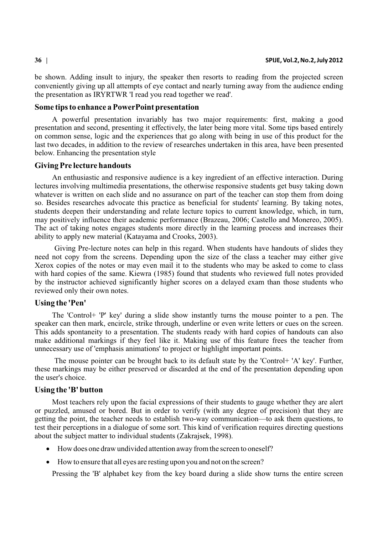be shown. Adding insult to injury, the speaker then resorts to reading from the projected screen conveniently giving up all attempts of eye contact and nearly turning away from the audience ending the presentation as IRYRTWR 'I read you read together we read'.

## **Some tips to enhance a PowerPoint presentation**

A powerful presentation invariably has two major requirements: first, making a good presentation and second, presenting it effectively, the later being more vital. Some tips based entirely on common sense, logic and the experiences that go along with being in use of this product for the last two decades, in addition to the review of researches undertaken in this area, have been presented below. Enhancing the presentation style

## **Giving Pre lecture handouts**

An enthusiastic and responsive audience is a key ingredient of an effective interaction. During lectures involving multimedia presentations, the otherwise responsive students get busy taking down whatever is written on each slide and no assurance on part of the teacher can stop them from doing so. Besides researches advocate this practice as beneficial for students' learning. By taking notes, students deepen their understanding and relate lecture topics to current knowledge, which, in turn, may positively influence their academic performance (Brazeau, 2006; Castello and Monereo, 2005). The act of taking notes engages students more directly in the learning process and increases their ability to apply new material (Katayama and Crooks, 2003).

Giving Pre-lecture notes can help in this regard. When students have handouts of slides they need not copy from the screens. Depending upon the size of the class a teacher may either give Xerox copies of the notes or may even mail it to the students who may be asked to come to class with hard copies of the same. Kiewra (1985) found that students who reviewed full notes provided by the instructor achieved significantly higher scores on a delayed exam than those students who reviewed only their own notes.

### **Using the 'Pen'**

The 'Control+ 'P' key' during a slide show instantly turns the mouse pointer to a pen. The speaker can then mark, encircle, strike through, underline or even write letters or cues on the screen. This adds spontaneity to a presentation. The students ready with hard copies of handouts can also make additional markings if they feel like it. Making use of this feature frees the teacher from unnecessary use of 'emphasis animations' to project or highlight important points.

The mouse pointer can be brought back to its default state by the 'Control+ 'A' key'. Further, these markings may be either preserved or discarded at the end of the presentation depending upon the user's choice.

#### **Using the 'B' button**

Most teachers rely upon the facial expressions of their students to gauge whether they are alert or puzzled, amused or bored. But in order to verify (with any degree of precision) that they are getting the point, the teacher needs to establish two-way communication—to ask them questions, to test their perceptions in a dialogue of some sort. This kind of verification requires directing questions about the subject matter to individual students (Zakrajsek, 1998).

How does one draw undivided attention away from the screen to oneself?

How to ensure that all eyes are resting upon you and not on the screen?

Pressing the 'B' alphabet key from the key board during a slide show turns the entire screen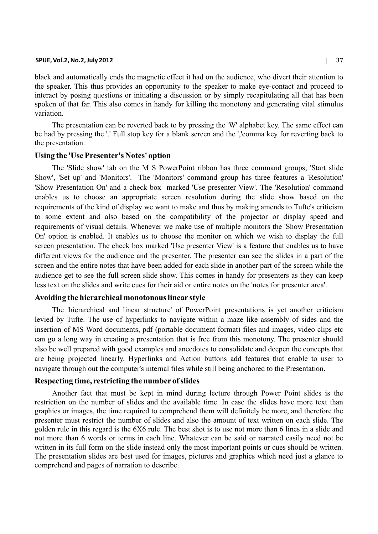#### **SPIJE, Vol.2, No.2, July 2012 | 37**

black and automatically ends the magnetic effect it had on the audience, who divert their attention to the speaker. This thus provides an opportunity to the speaker to make eye-contact and proceed to interact by posing questions or initiating a discussion or by simply recapitulating all that has been spoken of that far. This also comes in handy for killing the monotony and generating vital stimulus variation.

The presentation can be reverted back to by pressing the 'W' alphabet key. The same effect can be had by pressing the '.' Full stop key for a blank screen and the ','comma key for reverting back to the presentation.

## **Using the 'Use Presenter's Notes' option**

The 'Slide show' tab on the M S PowerPoint ribbon has three command groups; 'Start slide Show', 'Set up' and 'Monitors'. The 'Monitors' command group has three features a 'Resolution' 'Show Presentation On' and a check box marked 'Use presenter View'. The 'Resolution' command enables us to choose an appropriate screen resolution during the slide show based on the requirements of the kind of display we want to make and thus by making amends to Tufte's criticism to some extent and also based on the compatibility of the projector or display speed and requirements of visual details. Whenever we make use of multiple monitors the 'Show Presentation On' option is enabled. It enables us to choose the monitor on which we wish to display the full screen presentation. The check box marked 'Use presenter View' is a feature that enables us to have different views for the audience and the presenter. The presenter can see the slides in a part of the screen and the entire notes that have been added for each slide in another part of the screen while the audience get to see the full screen slide show. This comes in handy for presenters as they can keep less text on the slides and write cues for their aid or entire notes on the 'notes for presenter area'.

### **Avoiding the hierarchical monotonous linear style**

The 'hierarchical and linear structure' of PowerPoint presentations is yet another criticism levied by Tufte. The use of hyperlinks to navigate within a maze like assembly of sides and the insertion of MS Word documents, pdf (portable document format) files and images, video clips etc can go a long way in creating a presentation that is free from this monotony. The presenter should also be well prepared with good examples and anecdotes to consolidate and deepen the concepts that are being projected linearly. Hyperlinks and Action buttons add features that enable to user to navigate through out the computer's internal files while still being anchored to the Presentation.

### **Respecting time, restricting the number of slides**

Another fact that must be kept in mind during lecture through Power Point slides is the restriction on the number of slides and the available time. In case the slides have more text than graphics or images, the time required to comprehend them will definitely be more, and therefore the presenter must restrict the number of slides and also the amount of text written on each slide. The golden rule in this regard is the 6X6 rule. The best shot is to use not more than 6 lines in a slide and not more than 6 words or terms in each line. Whatever can be said or narrated easily need not be written in its full form on the slide instead only the most important points or cues should be written. The presentation slides are best used for images, pictures and graphics which need just a glance to comprehend and pages of narration to describe.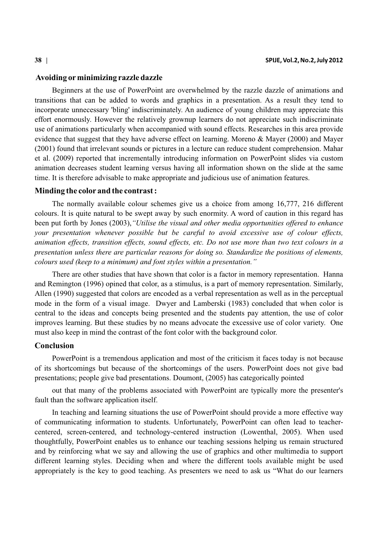#### **Avoiding orminimizing razzle dazzle**

Beginners at the use of PowerPoint are overwhelmed by the razzle dazzle of animations and transitions that can be added to words and graphics in a presentation. As a result they tend to incorporate unnecessary 'bling' indiscriminately. An audience of young children may appreciate this effort enormously. However the relatively grownup learners do not appreciate such indiscriminate use of animations particularly when accompanied with sound effects. Researches in this area provide evidence that suggest that they have adverse effect on learning. Moreno & Mayer (2000) and Mayer (2001) found that irrelevant sounds or pictures in a lecture can reduce student comprehension. Mahar et al. (2009) reported that incrementally introducing information on PowerPoint slides via custom animation decreases student learning versus having all information shown on the slide at the same time. It is therefore advisable to make appropriate and judicious use of animation features.

## **Minding the color and the contrast :**

The normally available colour schemes give us a choice from among 16,777, 216 different colours. It is quite natural to be swept away by such enormity. A word of caution in this regard has been put forth by Jones (2003),*"Utilise the visual and other media opportunities offered to enhance your presentation whenever possible but be careful to avoid excessive use of colour effects, animation effects, transition effects, sound effects, etc. Do not use more than two text colours in a presentation unless there are particular reasons for doing so. Standardize the positions of elements, colours used (keep to a minimum) and font styles within a presentation."* 

There are other studies that have shown that color is a factor in memory representation. Hanna and Remington (1996) opined that color, as a stimulus, is a part of memory representation. Similarly, Allen (1990) suggested that colors are encoded as a verbal representation as well as in the perceptual mode in the form of a visual image. Dwyer and Lamberski (1983) concluded that when color is central to the ideas and concepts being presented and the students pay attention, the use of color improves learning. But these studies by no means advocate the excessive use of color variety. One must also keep in mind the contrast of the font color with the background color.

## **Conclusion**

PowerPoint is a tremendous application and most of the criticism it faces today is not because of its shortcomings but because of the shortcomings of the users. PowerPoint does not give bad presentations; people give bad presentations. Doumont, (2005) has categorically pointed

out that many of the problems associated with PowerPoint are typically more the presenter's fault than the software application itself.

In teaching and learning situations the use of PowerPoint should provide a more effective way of communicating information to students. Unfortunately, PowerPoint can often lead to teachercentered, screen-centered, and technology-centered instruction (Lowenthal, 2005). When used thoughtfully, PowerPoint enables us to enhance our teaching sessions helping us remain structured and by reinforcing what we say and allowing the use of graphics and other multimedia to support different learning styles. Deciding when and where the different tools available might be used appropriately is the key to good teaching. As presenters we need to ask us "What do our learners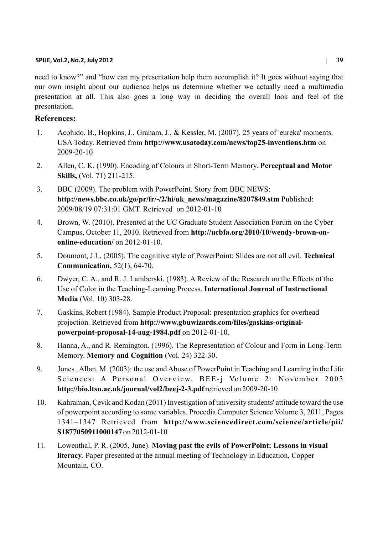## **SPIJE, Vol.2, No.2, July 2012 | 39**

need to know?" and "how can my presentation help them accomplish it? It goes without saying that our own insight about our audience helps us determine whether we actually need a multimedia presentation at all. This also goes a long way in deciding the overall look and feel of the presentation.

# **References:**

- 1. Acohido, B., Hopkins, J., Graham, J., & Kessler, M. (2007). 25 years of 'eureka' moments. USA Today. Retrieved from **http://www.usatoday.com/news/top25-inventions.htm** on 2009-20-10
- 2. Allen, C. K. (1990). Encoding of Colours in Short-Term Memory. **Perceptual and Motor Skills,** (Vol. 71) 211-215.
- 3. BBC (2009). The problem with PowerPoint. Story from BBC NEWS: **http://news.bbc.co.uk/go/pr/fr/-/2/hi/uk\_news/magazine/8207849.stm** Published: 2009/08/19 07:31:01 GMT. Retrieved on 2012-01-10
- 4. Brown, W. (2010). Presented at the UC Graduate Student Association Forum on the Cyber Campus, October 11, 2010. Retrieved from **http://ucbfa.org/2010/10/wendy-brown-ononline-education/** on 2012-01-10.
- 5. Doumont, J.L. (2005). The cognitive style of PowerPoint: Slides are not all evil. **Technical Communication,** 52(1), 64-70.
- 6. Dwyer, C. A., and R. J. Lamberski. (1983). A Review of the Research on the Effects of the Use of Color in the Teaching-Learning Process. **International Journal of Instructional Media** (Vol. 10) 303-28.
- 7. Gaskins, Robert (1984). Sample Product Proposal: presentation graphics for overhead projection. Retrieved from **http://www.gbuwizards.com/files/gaskins-originalpowerpoint-proposal-14-aug-1984.pdf** on 2012-01-10.
- 8. Hanna, A., and R. Remington. (1996). The Representation of Colour and Form in Long-Term Memory. **Memory and Cognition** (Vol. 24) 322-30.
- 9. Jones , Allan. M. (2003): the use and Abuse of PowerPoint in Teaching and Learning in the Life Sciences: A Personal Overview. BEE-j Volume 2: November 2003 **http://bio.ltsn.ac.uk/journal/vol2/beej-2-3.pdf**retrieved on 2009-20-10
- 10. Kahraman, Çevik and Kodan (2011) Investigation of university students' attitude toward the use of powerpoint according to some variables. Procedia Computer Science Volume 3, 2011, Pages 1341–1347 Retrieved from **http://www.sciencedirect.com/science/article/pii/ S1877050911000147** on 2012-01-10
- 11. Lowenthal, P. R. (2005, June). **Moving past the evils of PowerPoint: Lessons in visual literacy**. Paper presented at the annual meeting of Technology in Education, Copper Mountain, CO.